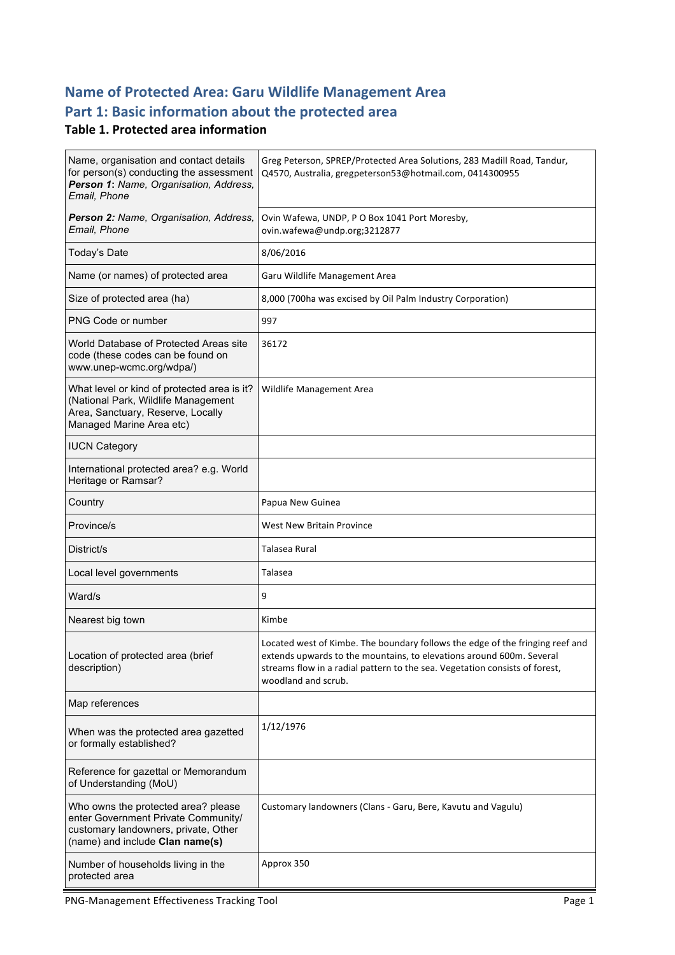## **Name of Protected Area: Garu Wildlife Management Area** Part 1: Basic information about the protected area

#### **Table 1. Protected area information**

| Name, organisation and contact details<br>for person(s) conducting the assessment<br>Person 1: Name, Organisation, Address,<br>Email, Phone           | Greg Peterson, SPREP/Protected Area Solutions, 283 Madill Road, Tandur,<br>Q4570, Australia, gregpeterson53@hotmail.com, 0414300955                                                                                                                         |
|-------------------------------------------------------------------------------------------------------------------------------------------------------|-------------------------------------------------------------------------------------------------------------------------------------------------------------------------------------------------------------------------------------------------------------|
| Person 2: Name, Organisation, Address,<br>Email, Phone                                                                                                | Ovin Wafewa, UNDP, P O Box 1041 Port Moresby,<br>ovin.wafewa@undp.org;3212877                                                                                                                                                                               |
| Today's Date                                                                                                                                          | 8/06/2016                                                                                                                                                                                                                                                   |
| Name (or names) of protected area                                                                                                                     | Garu Wildlife Management Area                                                                                                                                                                                                                               |
| Size of protected area (ha)                                                                                                                           | 8,000 (700ha was excised by Oil Palm Industry Corporation)                                                                                                                                                                                                  |
| PNG Code or number                                                                                                                                    | 997                                                                                                                                                                                                                                                         |
| World Database of Protected Areas site<br>code (these codes can be found on<br>www.unep-wcmc.org/wdpa/)                                               | 36172                                                                                                                                                                                                                                                       |
| What level or kind of protected area is it?<br>(National Park, Wildlife Management<br>Area, Sanctuary, Reserve, Locally<br>Managed Marine Area etc)   | Wildlife Management Area                                                                                                                                                                                                                                    |
| <b>IUCN Category</b>                                                                                                                                  |                                                                                                                                                                                                                                                             |
| International protected area? e.g. World<br>Heritage or Ramsar?                                                                                       |                                                                                                                                                                                                                                                             |
| Country                                                                                                                                               | Papua New Guinea                                                                                                                                                                                                                                            |
| Province/s                                                                                                                                            | <b>West New Britain Province</b>                                                                                                                                                                                                                            |
| District/s                                                                                                                                            | Talasea Rural                                                                                                                                                                                                                                               |
| Local level governments                                                                                                                               | Talasea                                                                                                                                                                                                                                                     |
| Ward/s                                                                                                                                                | 9                                                                                                                                                                                                                                                           |
| Nearest big town                                                                                                                                      | Kimbe                                                                                                                                                                                                                                                       |
| Location of protected area (brief<br>description)                                                                                                     | Located west of Kimbe. The boundary follows the edge of the fringing reef and<br>extends upwards to the mountains, to elevations around 600m. Several<br>streams flow in a radial pattern to the sea. Vegetation consists of forest,<br>woodland and scrub. |
| Map references                                                                                                                                        |                                                                                                                                                                                                                                                             |
| When was the protected area gazetted<br>or formally established?                                                                                      | 1/12/1976                                                                                                                                                                                                                                                   |
| Reference for gazettal or Memorandum<br>of Understanding (MoU)                                                                                        |                                                                                                                                                                                                                                                             |
| Who owns the protected area? please<br>enter Government Private Community/<br>customary landowners, private, Other<br>(name) and include Clan name(s) | Customary landowners (Clans - Garu, Bere, Kavutu and Vagulu)                                                                                                                                                                                                |
| Number of households living in the<br>protected area                                                                                                  | Approx 350                                                                                                                                                                                                                                                  |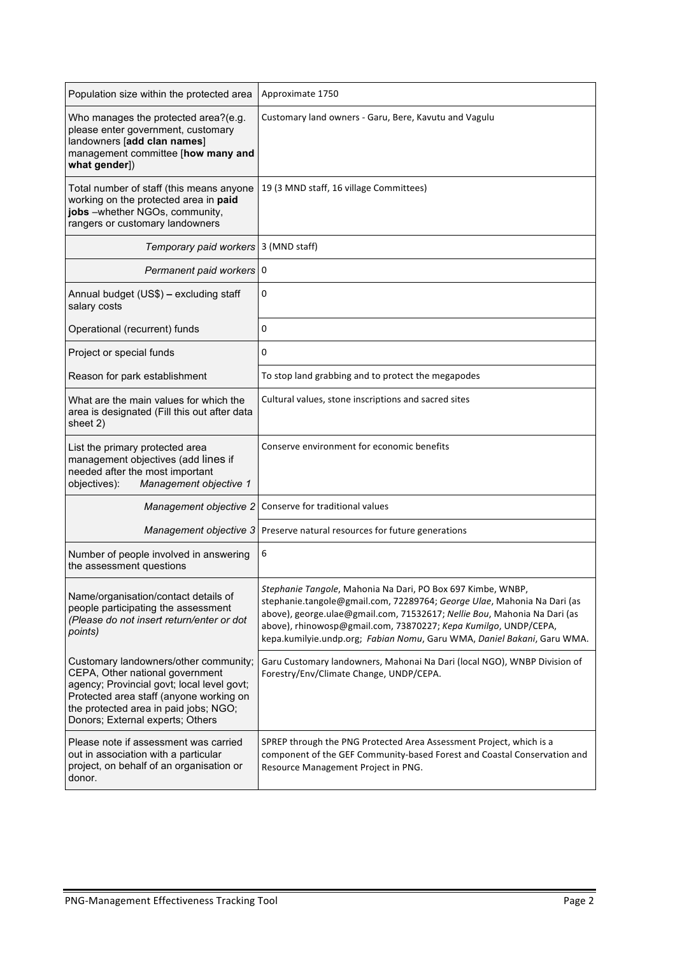| Population size within the protected area                                                                                                                                                                                                      | Approximate 1750                                                                                                                                                                                                                                                                                                                                                 |
|------------------------------------------------------------------------------------------------------------------------------------------------------------------------------------------------------------------------------------------------|------------------------------------------------------------------------------------------------------------------------------------------------------------------------------------------------------------------------------------------------------------------------------------------------------------------------------------------------------------------|
| Who manages the protected area?(e.g.<br>please enter government, customary<br>landowners [add clan names]<br>management committee [how many and<br>what gender])                                                                               | Customary land owners - Garu, Bere, Kavutu and Vagulu                                                                                                                                                                                                                                                                                                            |
| Total number of staff (this means anyone<br>working on the protected area in paid<br>jobs -whether NGOs, community,<br>rangers or customary landowners                                                                                         | 19 (3 MND staff, 16 village Committees)                                                                                                                                                                                                                                                                                                                          |
| Temporary paid workers                                                                                                                                                                                                                         | 3 (MND staff)                                                                                                                                                                                                                                                                                                                                                    |
| Permanent paid workers   0                                                                                                                                                                                                                     |                                                                                                                                                                                                                                                                                                                                                                  |
| Annual budget (US\$) - excluding staff<br>salary costs                                                                                                                                                                                         | 0                                                                                                                                                                                                                                                                                                                                                                |
| Operational (recurrent) funds                                                                                                                                                                                                                  | 0                                                                                                                                                                                                                                                                                                                                                                |
| Project or special funds                                                                                                                                                                                                                       | 0                                                                                                                                                                                                                                                                                                                                                                |
| Reason for park establishment                                                                                                                                                                                                                  | To stop land grabbing and to protect the megapodes                                                                                                                                                                                                                                                                                                               |
| What are the main values for which the<br>area is designated (Fill this out after data<br>sheet 2)                                                                                                                                             | Cultural values, stone inscriptions and sacred sites                                                                                                                                                                                                                                                                                                             |
| List the primary protected area<br>management objectives (add lines if<br>needed after the most important<br>Management objective 1<br>objectives):                                                                                            | Conserve environment for economic benefits                                                                                                                                                                                                                                                                                                                       |
| Management objective 2                                                                                                                                                                                                                         | Conserve for traditional values                                                                                                                                                                                                                                                                                                                                  |
| Management objective 3                                                                                                                                                                                                                         | Preserve natural resources for future generations                                                                                                                                                                                                                                                                                                                |
| Number of people involved in answering<br>the assessment questions                                                                                                                                                                             | 6                                                                                                                                                                                                                                                                                                                                                                |
| Name/organisation/contact details of<br>people participating the assessment<br>(Please do not insert return/enter or dot<br>points)                                                                                                            | Stephanie Tangole, Mahonia Na Dari, PO Box 697 Kimbe, WNBP,<br>stephanie.tangole@gmail.com, 72289764; George Ulae, Mahonia Na Dari (as<br>above), george.ulae@gmail.com, 71532617; Nellie Bou, Mahonia Na Dari (as<br>above), rhinowosp@gmail.com, 73870227; Kepa Kumilgo, UNDP/CEPA,<br>kepa.kumilyie.undp.org; Fabian Nomu, Garu WMA, Daniel Bakani, Garu WMA. |
| Customary landowners/other community;<br>CEPA, Other national government<br>agency; Provincial govt; local level govt;<br>Protected area staff (anyone working on<br>the protected area in paid jobs; NGO;<br>Donors; External experts; Others | Garu Customary landowners, Mahonai Na Dari (local NGO), WNBP Division of<br>Forestry/Env/Climate Change, UNDP/CEPA.                                                                                                                                                                                                                                              |
| Please note if assessment was carried<br>out in association with a particular<br>project, on behalf of an organisation or<br>donor.                                                                                                            | SPREP through the PNG Protected Area Assessment Project, which is a<br>component of the GEF Community-based Forest and Coastal Conservation and<br>Resource Management Project in PNG.                                                                                                                                                                           |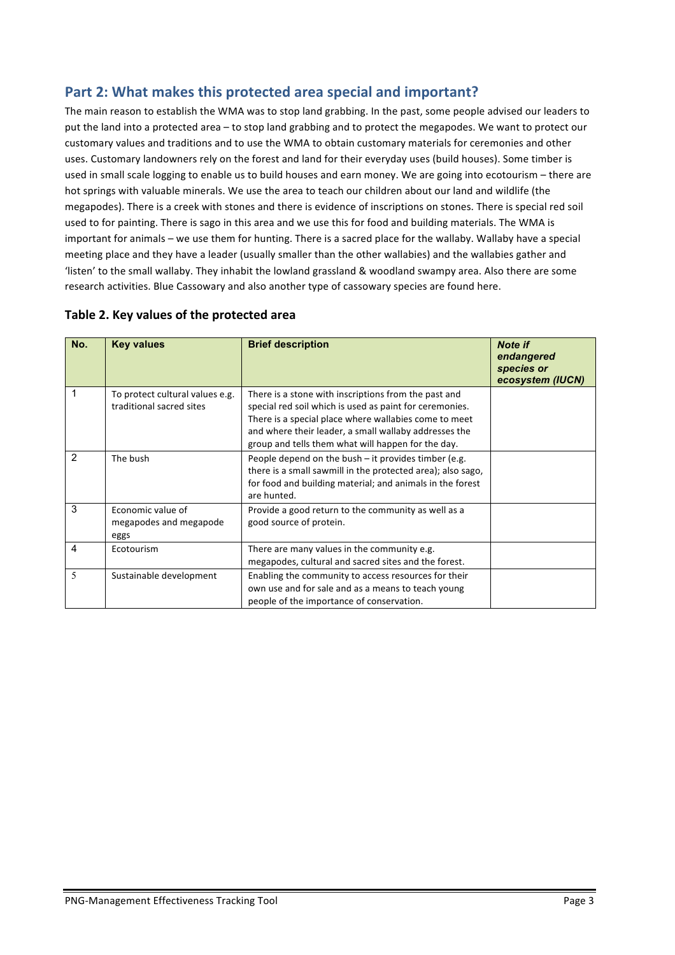#### Part 2: What makes this protected area special and important?

The main reason to establish the WMA was to stop land grabbing. In the past, some people advised our leaders to put the land into a protected area – to stop land grabbing and to protect the megapodes. We want to protect our customary values and traditions and to use the WMA to obtain customary materials for ceremonies and other uses. Customary landowners rely on the forest and land for their everyday uses (build houses). Some timber is used in small scale logging to enable us to build houses and earn money. We are going into ecotourism – there are hot springs with valuable minerals. We use the area to teach our children about our land and wildlife (the megapodes). There is a creek with stones and there is evidence of inscriptions on stones. There is special red soil used to for painting. There is sago in this area and we use this for food and building materials. The WMA is important for animals – we use them for hunting. There is a sacred place for the wallaby. Wallaby have a special meeting place and they have a leader (usually smaller than the other wallabies) and the wallabies gather and 'listen' to the small wallaby. They inhabit the lowland grassland & woodland swampy area. Also there are some research activities. Blue Cassowary and also another type of cassowary species are found here.

|  |  | Table 2. Key values of the protected area |  |
|--|--|-------------------------------------------|--|
|--|--|-------------------------------------------|--|

| No. | <b>Key values</b>                                           | <b>Brief description</b>                                                                                                                                                                                                                                                                | <b>Note if</b><br>endangered<br>species or<br>ecosystem (IUCN) |
|-----|-------------------------------------------------------------|-----------------------------------------------------------------------------------------------------------------------------------------------------------------------------------------------------------------------------------------------------------------------------------------|----------------------------------------------------------------|
| 1   | To protect cultural values e.g.<br>traditional sacred sites | There is a stone with inscriptions from the past and<br>special red soil which is used as paint for ceremonies.<br>There is a special place where wallabies come to meet<br>and where their leader, a small wallaby addresses the<br>group and tells them what will happen for the day. |                                                                |
| 2   | The bush                                                    | People depend on the bush $-$ it provides timber (e.g.<br>there is a small sawmill in the protected area); also sago,<br>for food and building material; and animals in the forest<br>are hunted.                                                                                       |                                                                |
| 3   | Economic value of<br>megapodes and megapode<br>eggs         | Provide a good return to the community as well as a<br>good source of protein.                                                                                                                                                                                                          |                                                                |
| 4   | Ecotourism                                                  | There are many values in the community e.g.<br>megapodes, cultural and sacred sites and the forest.                                                                                                                                                                                     |                                                                |
| 5   | Sustainable development                                     | Enabling the community to access resources for their<br>own use and for sale and as a means to teach young<br>people of the importance of conservation.                                                                                                                                 |                                                                |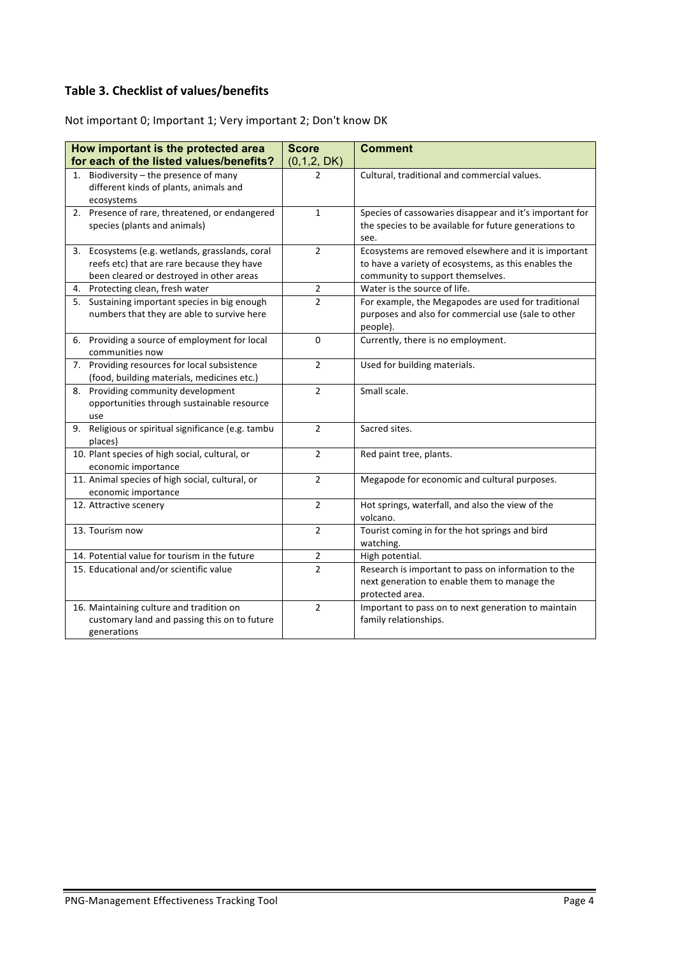#### **Table 3. Checklist of values/benefits**

Not important 0; Important 1; Very important 2; Don't know DK

| How important is the protected area                                    | <b>Score</b>   | <b>Comment</b>                                          |
|------------------------------------------------------------------------|----------------|---------------------------------------------------------|
| for each of the listed values/benefits?                                | (0,1,2, DK)    |                                                         |
| Biodiversity $-$ the presence of many<br>1.                            | $\mathcal{P}$  | Cultural, traditional and commercial values.            |
| different kinds of plants, animals and                                 |                |                                                         |
| ecosystems                                                             |                |                                                         |
| 2. Presence of rare, threatened, or endangered                         | $\mathbf{1}$   | Species of cassowaries disappear and it's important for |
| species (plants and animals)                                           |                | the species to be available for future generations to   |
|                                                                        |                | see.                                                    |
| 3. Ecosystems (e.g. wetlands, grasslands, coral                        | $\overline{2}$ | Ecosystems are removed elsewhere and it is important    |
| reefs etc) that are rare because they have                             |                | to have a variety of ecosystems, as this enables the    |
| been cleared or destroyed in other areas                               |                | community to support themselves.                        |
| 4. Protecting clean, fresh water                                       | $\overline{2}$ | Water is the source of life.                            |
| 5. Sustaining important species in big enough                          | $\overline{2}$ | For example, the Megapodes are used for traditional     |
| numbers that they are able to survive here                             |                | purposes and also for commercial use (sale to other     |
|                                                                        |                | people).                                                |
| 6. Providing a source of employment for local                          | 0              | Currently, there is no employment.                      |
| communities now                                                        |                |                                                         |
| 7. Providing resources for local subsistence                           | $\overline{2}$ | Used for building materials.                            |
| (food, building materials, medicines etc.)                             |                |                                                         |
| 8. Providing community development                                     | $\overline{2}$ | Small scale.                                            |
| opportunities through sustainable resource                             |                |                                                         |
| use                                                                    | $\overline{2}$ |                                                         |
| Religious or spiritual significance (e.g. tambu<br>9.                  |                | Sacred sites.                                           |
| places)<br>10. Plant species of high social, cultural, or              | $\overline{2}$ |                                                         |
|                                                                        |                | Red paint tree, plants.                                 |
| economic importance<br>11. Animal species of high social, cultural, or | $\overline{2}$ | Megapode for economic and cultural purposes.            |
| economic importance                                                    |                |                                                         |
| 12. Attractive scenery                                                 | $\overline{2}$ | Hot springs, waterfall, and also the view of the        |
|                                                                        |                | volcano.                                                |
| 13. Tourism now                                                        | $\overline{2}$ | Tourist coming in for the hot springs and bird          |
|                                                                        |                | watching.                                               |
| 14. Potential value for tourism in the future                          | $\overline{2}$ | High potential.                                         |
| 15. Educational and/or scientific value                                | $\overline{2}$ | Research is important to pass on information to the     |
|                                                                        |                | next generation to enable them to manage the            |
|                                                                        |                | protected area.                                         |
| 16. Maintaining culture and tradition on                               | $\overline{2}$ | Important to pass on to next generation to maintain     |
| customary land and passing this on to future                           |                | family relationships.                                   |
| generations                                                            |                |                                                         |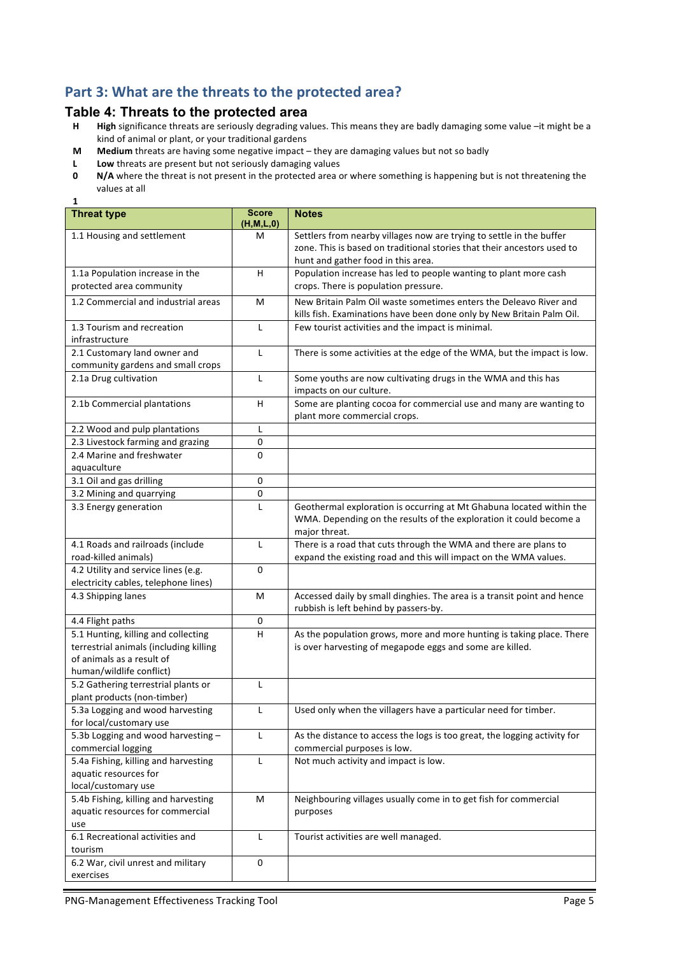#### Part 3: What are the threats to the protected area?

# **Table 4: Threats to the protected area**<br>**H** High significance threats are seriously degrading val

**1**

- High significance threats are seriously degrading values. This means they are badly damaging some value -it might be a kind of animal or plant, or your traditional gardens
- **M** Medium threats are having some negative impact they are damaging values but not so badly
- **L** Low threats are present but not seriously damaging values<br>**0** N/A where the threat is not present in the protected area c
- **N/A** where the threat is not present in the protected area or where something is happening but is not threatening the values at all

| <b>Threat type</b>                      | <b>Score</b><br>(H, M, L, 0) | <b>Notes</b>                                                                        |
|-----------------------------------------|------------------------------|-------------------------------------------------------------------------------------|
| 1.1 Housing and settlement              | м                            | Settlers from nearby villages now are trying to settle in the buffer                |
|                                         |                              | zone. This is based on traditional stories that their ancestors used to             |
|                                         |                              | hunt and gather food in this area.                                                  |
| 1.1a Population increase in the         | H                            | Population increase has led to people wanting to plant more cash                    |
| protected area community                |                              | crops. There is population pressure.                                                |
| 1.2 Commercial and industrial areas     | M                            | New Britain Palm Oil waste sometimes enters the Deleavo River and                   |
|                                         |                              | kills fish. Examinations have been done only by New Britain Palm Oil.               |
| 1.3 Tourism and recreation              | L                            | Few tourist activities and the impact is minimal.                                   |
| infrastructure                          |                              |                                                                                     |
| 2.1 Customary land owner and            | L                            | There is some activities at the edge of the WMA, but the impact is low.             |
| community gardens and small crops       |                              |                                                                                     |
| 2.1a Drug cultivation                   | L                            | Some youths are now cultivating drugs in the WMA and this has                       |
|                                         |                              | impacts on our culture.                                                             |
| 2.1b Commercial plantations             | H                            | Some are planting cocoa for commercial use and many are wanting to                  |
|                                         |                              | plant more commercial crops.                                                        |
| 2.2 Wood and pulp plantations           | L                            |                                                                                     |
| 2.3 Livestock farming and grazing       | 0                            |                                                                                     |
| 2.4 Marine and freshwater               | 0                            |                                                                                     |
| aquaculture                             |                              |                                                                                     |
| 3.1 Oil and gas drilling                | 0                            |                                                                                     |
| 3.2 Mining and quarrying                | 0                            |                                                                                     |
| 3.3 Energy generation                   | $\mathsf{L}$                 | Geothermal exploration is occurring at Mt Ghabuna located within the                |
|                                         |                              | WMA. Depending on the results of the exploration it could become a<br>major threat. |
| 4.1 Roads and railroads (include        | L                            | There is a road that cuts through the WMA and there are plans to                    |
| road-killed animals)                    |                              | expand the existing road and this will impact on the WMA values.                    |
| 4.2 Utility and service lines (e.g.     | 0                            |                                                                                     |
| electricity cables, telephone lines)    |                              |                                                                                     |
| 4.3 Shipping lanes                      | M                            | Accessed daily by small dinghies. The area is a transit point and hence             |
|                                         |                              | rubbish is left behind by passers-by.                                               |
| 4.4 Flight paths                        | 0                            |                                                                                     |
| 5.1 Hunting, killing and collecting     | H                            | As the population grows, more and more hunting is taking place. There               |
| terrestrial animals (including killing  |                              | is over harvesting of megapode eggs and some are killed.                            |
| of animals as a result of               |                              |                                                                                     |
| human/wildlife conflict)                |                              |                                                                                     |
| 5.2 Gathering terrestrial plants or     | $\mathsf{L}$                 |                                                                                     |
| plant products (non-timber)             |                              |                                                                                     |
| 5.3a Logging and wood harvesting        | L                            | Used only when the villagers have a particular need for timber.                     |
| for local/customary use                 |                              |                                                                                     |
| 5.3b Logging and wood harvesting -      | L                            | As the distance to access the logs is too great, the logging activity for           |
| commercial logging                      |                              | commercial purposes is low.                                                         |
| 5.4a Fishing, killing and harvesting    | L                            | Not much activity and impact is low.                                                |
| aquatic resources for                   |                              |                                                                                     |
| local/customary use                     |                              |                                                                                     |
| 5.4b Fishing, killing and harvesting    | М                            | Neighbouring villages usually come in to get fish for commercial                    |
| aquatic resources for commercial<br>use |                              | purposes                                                                            |
| 6.1 Recreational activities and         | L                            | Tourist activities are well managed.                                                |
| tourism                                 |                              |                                                                                     |
| 6.2 War, civil unrest and military      | 0                            |                                                                                     |
| exercises                               |                              |                                                                                     |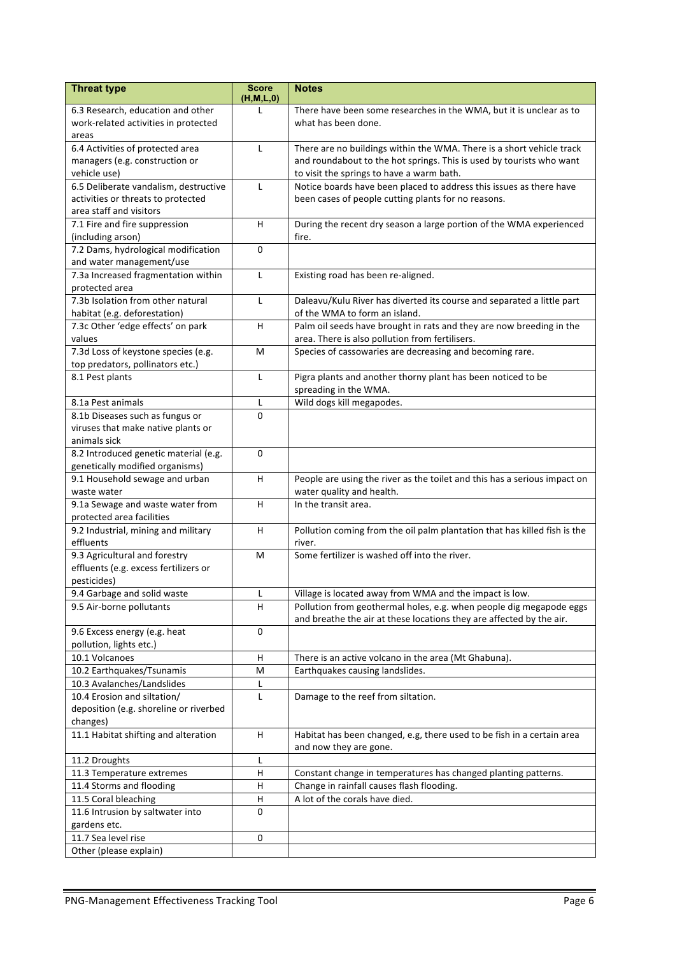| <b>Threat type</b>                     | <b>Score</b><br>(H, M, L, 0) | <b>Notes</b>                                                              |
|----------------------------------------|------------------------------|---------------------------------------------------------------------------|
| 6.3 Research, education and other      | L                            | There have been some researches in the WMA, but it is unclear as to       |
| work-related activities in protected   |                              | what has been done.                                                       |
| areas                                  |                              |                                                                           |
| 6.4 Activities of protected area       | L                            | There are no buildings within the WMA. There is a short vehicle track     |
| managers (e.g. construction or         |                              | and roundabout to the hot springs. This is used by tourists who want      |
| vehicle use)                           |                              | to visit the springs to have a warm bath.                                 |
| 6.5 Deliberate vandalism, destructive  | $\mathsf{L}$                 | Notice boards have been placed to address this issues as there have       |
| activities or threats to protected     |                              | been cases of people cutting plants for no reasons.                       |
| area staff and visitors                |                              |                                                                           |
| 7.1 Fire and fire suppression          | H                            | During the recent dry season a large portion of the WMA experienced       |
| (including arson)                      |                              | fire.                                                                     |
| 7.2 Dams, hydrological modification    | $\Omega$                     |                                                                           |
| and water management/use               |                              |                                                                           |
| 7.3a Increased fragmentation within    | L                            | Existing road has been re-aligned.                                        |
| protected area                         |                              |                                                                           |
| 7.3b Isolation from other natural      | L                            | Daleavu/Kulu River has diverted its course and separated a little part    |
| habitat (e.g. deforestation)           |                              | of the WMA to form an island.                                             |
| 7.3c Other 'edge effects' on park      | H                            | Palm oil seeds have brought in rats and they are now breeding in the      |
| values                                 |                              | area. There is also pollution from fertilisers.                           |
| 7.3d Loss of keystone species (e.g.    | м                            | Species of cassowaries are decreasing and becoming rare.                  |
| top predators, pollinators etc.)       |                              |                                                                           |
| 8.1 Pest plants                        | L                            | Pigra plants and another thorny plant has been noticed to be              |
|                                        |                              | spreading in the WMA.                                                     |
| 8.1a Pest animals                      | L                            | Wild dogs kill megapodes.                                                 |
| 8.1b Diseases such as fungus or        | $\Omega$                     |                                                                           |
| viruses that make native plants or     |                              |                                                                           |
| animals sick                           |                              |                                                                           |
| 8.2 Introduced genetic material (e.g.  | 0                            |                                                                           |
| genetically modified organisms)        |                              |                                                                           |
| 9.1 Household sewage and urban         | H                            | People are using the river as the toilet and this has a serious impact on |
| waste water                            |                              | water quality and health.                                                 |
| 9.1a Sewage and waste water from       | H                            | In the transit area.                                                      |
| protected area facilities              |                              |                                                                           |
| 9.2 Industrial, mining and military    | H                            | Pollution coming from the oil palm plantation that has killed fish is the |
| effluents                              |                              | river.                                                                    |
| 9.3 Agricultural and forestry          | M                            | Some fertilizer is washed off into the river.                             |
| effluents (e.g. excess fertilizers or  |                              |                                                                           |
| pesticides)                            |                              |                                                                           |
| 9.4 Garbage and solid waste            | L                            | Village is located away from WMA and the impact is low.                   |
| 9.5 Air-borne pollutants               | H                            | Pollution from geothermal holes, e.g. when people dig megapode eggs       |
| 9.6 Excess energy (e.g. heat           | 0                            | and breathe the air at these locations they are affected by the air.      |
| pollution, lights etc.)                |                              |                                                                           |
| 10.1 Volcanoes                         | H                            | There is an active volcano in the area (Mt Ghabuna).                      |
| 10.2 Earthquakes/Tsunamis              | M                            | Earthquakes causing landslides.                                           |
| 10.3 Avalanches/Landslides             | L                            |                                                                           |
| 10.4 Erosion and siltation/            | L                            | Damage to the reef from siltation.                                        |
| deposition (e.g. shoreline or riverbed |                              |                                                                           |
| changes)                               |                              |                                                                           |
| 11.1 Habitat shifting and alteration   | Н                            | Habitat has been changed, e.g, there used to be fish in a certain area    |
|                                        |                              | and now they are gone.                                                    |
| 11.2 Droughts                          | L                            |                                                                           |
| 11.3 Temperature extremes              | H                            | Constant change in temperatures has changed planting patterns.            |
| 11.4 Storms and flooding               | Н                            | Change in rainfall causes flash flooding.                                 |
| 11.5 Coral bleaching                   | н                            | A lot of the corals have died.                                            |
| 11.6 Intrusion by saltwater into       | 0                            |                                                                           |
| gardens etc.                           |                              |                                                                           |
| 11.7 Sea level rise                    | $\pmb{0}$                    |                                                                           |
| Other (please explain)                 |                              |                                                                           |
|                                        |                              |                                                                           |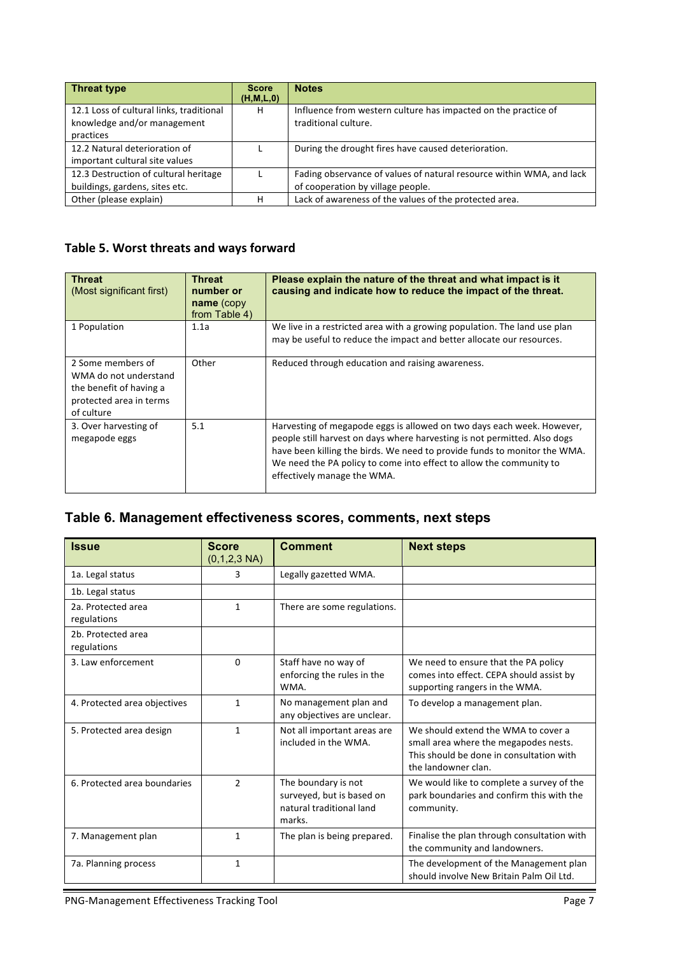| <b>Threat type</b>                                                                   | <b>Score</b><br>(H, M, L, 0) | <b>Notes</b>                                                                                              |
|--------------------------------------------------------------------------------------|------------------------------|-----------------------------------------------------------------------------------------------------------|
| 12.1 Loss of cultural links, traditional<br>knowledge and/or management<br>practices | H                            | Influence from western culture has impacted on the practice of<br>traditional culture.                    |
| 12.2 Natural deterioration of<br>important cultural site values                      |                              | During the drought fires have caused deterioration.                                                       |
| 12.3 Destruction of cultural heritage<br>buildings, gardens, sites etc.              |                              | Fading observance of values of natural resource within WMA, and lack<br>of cooperation by village people. |
| Other (please explain)                                                               | н                            | Lack of awareness of the values of the protected area.                                                    |

## Table 5. Worst threats and ways forward

| <b>Threat</b><br>(Most significant first)                                                                      | <b>Threat</b><br>number or<br>name (copy<br>from Table 4) | Please explain the nature of the threat and what impact is it<br>causing and indicate how to reduce the impact of the threat.                                                                                                                                                                                                          |
|----------------------------------------------------------------------------------------------------------------|-----------------------------------------------------------|----------------------------------------------------------------------------------------------------------------------------------------------------------------------------------------------------------------------------------------------------------------------------------------------------------------------------------------|
| 1 Population                                                                                                   | 1.1a                                                      | We live in a restricted area with a growing population. The land use plan<br>may be useful to reduce the impact and better allocate our resources.                                                                                                                                                                                     |
| 2 Some members of<br>WMA do not understand<br>the benefit of having a<br>protected area in terms<br>of culture | Other                                                     | Reduced through education and raising awareness.                                                                                                                                                                                                                                                                                       |
| 3. Over harvesting of<br>megapode eggs                                                                         | 5.1                                                       | Harvesting of megapode eggs is allowed on two days each week. However,<br>people still harvest on days where harvesting is not permitted. Also dogs<br>have been killing the birds. We need to provide funds to monitor the WMA.<br>We need the PA policy to come into effect to allow the community to<br>effectively manage the WMA. |

## **Table 6. Management effectiveness scores, comments, next steps**

| <b>Issue</b>                      | <b>Score</b><br>$(0,1,2,3 \text{ NA})$ | <b>Comment</b>                                                                         | <b>Next steps</b>                                                                                                                               |
|-----------------------------------|----------------------------------------|----------------------------------------------------------------------------------------|-------------------------------------------------------------------------------------------------------------------------------------------------|
| 1a. Legal status                  | 3                                      | Legally gazetted WMA.                                                                  |                                                                                                                                                 |
| 1b. Legal status                  |                                        |                                                                                        |                                                                                                                                                 |
| 2a. Protected area<br>regulations | $\mathbf{1}$                           | There are some regulations.                                                            |                                                                                                                                                 |
| 2b. Protected area<br>regulations |                                        |                                                                                        |                                                                                                                                                 |
| 3. Law enforcement                | $\Omega$                               | Staff have no way of<br>enforcing the rules in the<br>WMA.                             | We need to ensure that the PA policy<br>comes into effect. CEPA should assist by<br>supporting rangers in the WMA.                              |
| 4. Protected area objectives      | $\mathbf{1}$                           | No management plan and<br>any objectives are unclear.                                  | To develop a management plan.                                                                                                                   |
| 5. Protected area design          | $\mathbf{1}$                           | Not all important areas are<br>included in the WMA.                                    | We should extend the WMA to cover a<br>small area where the megapodes nests.<br>This should be done in consultation with<br>the landowner clan. |
| 6. Protected area boundaries      | $\overline{2}$                         | The boundary is not<br>surveyed, but is based on<br>natural traditional land<br>marks. | We would like to complete a survey of the<br>park boundaries and confirm this with the<br>community.                                            |
| 7. Management plan                | $\mathbf{1}$                           | The plan is being prepared.                                                            | Finalise the plan through consultation with<br>the community and landowners.                                                                    |
| 7a. Planning process              | $\mathbf{1}$                           |                                                                                        | The development of the Management plan<br>should involve New Britain Palm Oil Ltd.                                                              |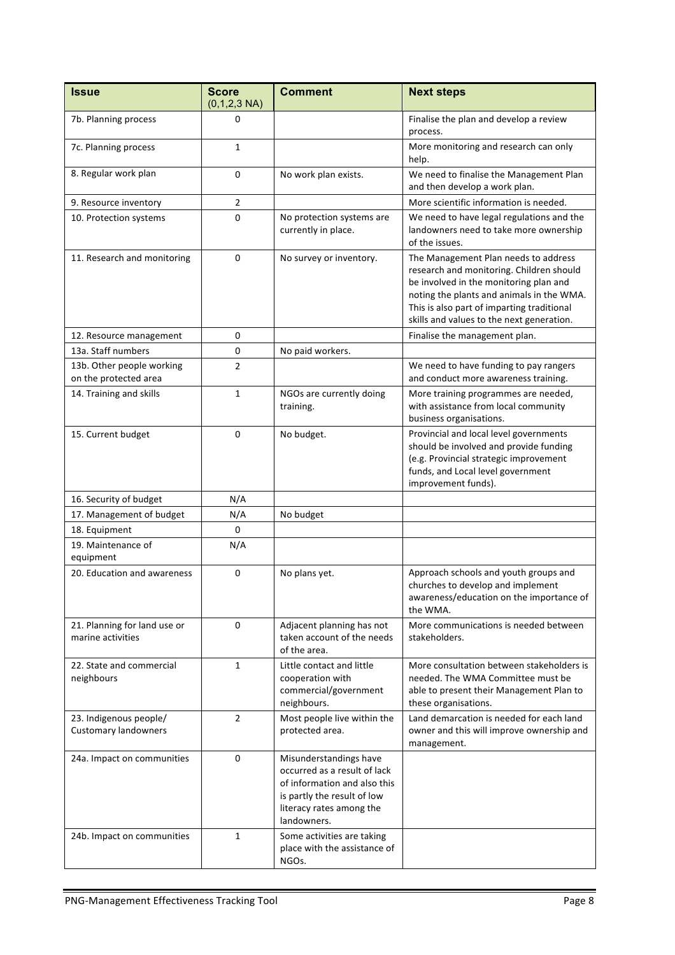| <b>Issue</b>                                          | <b>Score</b><br>$(0,1,2,3 \text{ NA})$ | <b>Comment</b>                                                                                                                                                   | <b>Next steps</b>                                                                                                                                                                                                                                                  |
|-------------------------------------------------------|----------------------------------------|------------------------------------------------------------------------------------------------------------------------------------------------------------------|--------------------------------------------------------------------------------------------------------------------------------------------------------------------------------------------------------------------------------------------------------------------|
| 7b. Planning process                                  | 0                                      |                                                                                                                                                                  | Finalise the plan and develop a review<br>process.                                                                                                                                                                                                                 |
| 7c. Planning process                                  | 1                                      |                                                                                                                                                                  | More monitoring and research can only<br>help.                                                                                                                                                                                                                     |
| 8. Regular work plan                                  | 0                                      | No work plan exists.                                                                                                                                             | We need to finalise the Management Plan<br>and then develop a work plan.                                                                                                                                                                                           |
| 9. Resource inventory                                 | 2                                      |                                                                                                                                                                  | More scientific information is needed.                                                                                                                                                                                                                             |
| 10. Protection systems                                | 0                                      | No protection systems are<br>currently in place.                                                                                                                 | We need to have legal regulations and the<br>landowners need to take more ownership<br>of the issues.                                                                                                                                                              |
| 11. Research and monitoring                           | 0                                      | No survey or inventory.                                                                                                                                          | The Management Plan needs to address<br>research and monitoring. Children should<br>be involved in the monitoring plan and<br>noting the plants and animals in the WMA.<br>This is also part of imparting traditional<br>skills and values to the next generation. |
| 12. Resource management                               | 0                                      |                                                                                                                                                                  | Finalise the management plan.                                                                                                                                                                                                                                      |
| 13a. Staff numbers                                    | 0                                      | No paid workers.                                                                                                                                                 |                                                                                                                                                                                                                                                                    |
| 13b. Other people working<br>on the protected area    | 2                                      |                                                                                                                                                                  | We need to have funding to pay rangers<br>and conduct more awareness training.                                                                                                                                                                                     |
| 14. Training and skills                               | 1                                      | NGOs are currently doing<br>training.                                                                                                                            | More training programmes are needed,<br>with assistance from local community<br>business organisations.                                                                                                                                                            |
| 15. Current budget                                    | $\mathbf 0$                            | No budget.                                                                                                                                                       | Provincial and local level governments<br>should be involved and provide funding<br>(e.g. Provincial strategic improvement<br>funds, and Local level government<br>improvement funds).                                                                             |
| 16. Security of budget                                | N/A                                    |                                                                                                                                                                  |                                                                                                                                                                                                                                                                    |
| 17. Management of budget                              | N/A                                    | No budget                                                                                                                                                        |                                                                                                                                                                                                                                                                    |
| 18. Equipment                                         | 0                                      |                                                                                                                                                                  |                                                                                                                                                                                                                                                                    |
| 19. Maintenance of<br>equipment                       | N/A                                    |                                                                                                                                                                  |                                                                                                                                                                                                                                                                    |
| 20. Education and awareness                           | 0                                      | No plans yet.                                                                                                                                                    | Approach schools and youth groups and<br>churches to develop and implement<br>awareness/education on the importance of<br>the WMA.                                                                                                                                 |
| 21. Planning for land use or<br>marine activities     | 0                                      | Adjacent planning has not<br>taken account of the needs<br>of the area.                                                                                          | More communications is needed between<br>stakeholders.                                                                                                                                                                                                             |
| 22. State and commercial<br>neighbours                | 1                                      | Little contact and little<br>cooperation with<br>commercial/government<br>neighbours.                                                                            | More consultation between stakeholders is<br>needed. The WMA Committee must be<br>able to present their Management Plan to<br>these organisations.                                                                                                                 |
| 23. Indigenous people/<br><b>Customary landowners</b> | $\overline{2}$                         | Most people live within the<br>protected area.                                                                                                                   | Land demarcation is needed for each land<br>owner and this will improve ownership and<br>management.                                                                                                                                                               |
| 24a. Impact on communities                            | 0                                      | Misunderstandings have<br>occurred as a result of lack<br>of information and also this<br>is partly the result of low<br>literacy rates among the<br>landowners. |                                                                                                                                                                                                                                                                    |
| 24b. Impact on communities                            | 1                                      | Some activities are taking<br>place with the assistance of<br>NGOs.                                                                                              |                                                                                                                                                                                                                                                                    |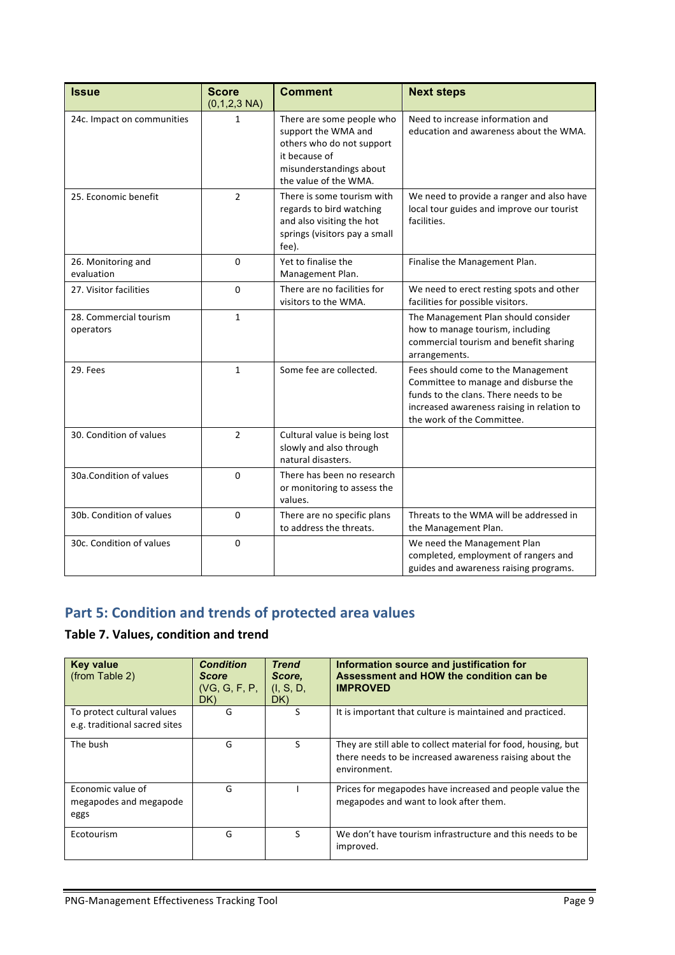| <b>Issue</b>                        | <b>Score</b><br>$(0,1,2,3 \text{ NA})$ | <b>Comment</b>                                                                                                                                     | <b>Next steps</b>                                                                                                                                                                               |
|-------------------------------------|----------------------------------------|----------------------------------------------------------------------------------------------------------------------------------------------------|-------------------------------------------------------------------------------------------------------------------------------------------------------------------------------------------------|
| 24c. Impact on communities          | 1                                      | There are some people who<br>support the WMA and<br>others who do not support<br>it because of<br>misunderstandings about<br>the value of the WMA. | Need to increase information and<br>education and awareness about the WMA.                                                                                                                      |
| 25. Economic benefit                | 2                                      | There is some tourism with<br>regards to bird watching<br>and also visiting the hot<br>springs (visitors pay a small<br>fee).                      | We need to provide a ranger and also have<br>local tour guides and improve our tourist<br>facilities.                                                                                           |
| 26. Monitoring and<br>evaluation    | 0                                      | Yet to finalise the<br>Management Plan.                                                                                                            | Finalise the Management Plan.                                                                                                                                                                   |
| 27. Visitor facilities              | 0                                      | There are no facilities for<br>visitors to the WMA.                                                                                                | We need to erect resting spots and other<br>facilities for possible visitors.                                                                                                                   |
| 28. Commercial tourism<br>operators | $\mathbf{1}$                           |                                                                                                                                                    | The Management Plan should consider<br>how to manage tourism, including<br>commercial tourism and benefit sharing<br>arrangements.                                                              |
| 29. Fees                            | $\mathbf{1}$                           | Some fee are collected.                                                                                                                            | Fees should come to the Management<br>Committee to manage and disburse the<br>funds to the clans. There needs to be<br>increased awareness raising in relation to<br>the work of the Committee. |
| 30. Condition of values             | $\overline{2}$                         | Cultural value is being lost<br>slowly and also through<br>natural disasters.                                                                      |                                                                                                                                                                                                 |
| 30a.Condition of values             | 0                                      | There has been no research<br>or monitoring to assess the<br>values.                                                                               |                                                                                                                                                                                                 |
| 30b. Condition of values            | $\Omega$                               | There are no specific plans<br>to address the threats.                                                                                             | Threats to the WMA will be addressed in<br>the Management Plan.                                                                                                                                 |
| 30c. Condition of values            | $\Omega$                               |                                                                                                                                                    | We need the Management Plan<br>completed, employment of rangers and<br>guides and awareness raising programs.                                                                                   |

## **Part 5: Condition and trends of protected area values**

## **Table 7. Values, condition and trend**

| <b>Key value</b><br>(from Table 2)                          | <b>Condition</b><br><b>Score</b><br>(VG, G, F, P,<br>DK) | <b>Trend</b><br>Score.<br>(I, S, D,<br>DK) | Information source and justification for<br>Assessment and HOW the condition can be<br><b>IMPROVED</b>                                    |
|-------------------------------------------------------------|----------------------------------------------------------|--------------------------------------------|-------------------------------------------------------------------------------------------------------------------------------------------|
| To protect cultural values<br>e.g. traditional sacred sites | G                                                        | S                                          | It is important that culture is maintained and practiced.                                                                                 |
| The bush                                                    | G                                                        | S                                          | They are still able to collect material for food, housing, but<br>there needs to be increased awareness raising about the<br>environment. |
| Economic value of<br>megapodes and megapode<br>eggs         | G                                                        |                                            | Prices for megapodes have increased and people value the<br>megapodes and want to look after them.                                        |
| Ecotourism                                                  | G                                                        | ς                                          | We don't have tourism infrastructure and this needs to be<br>improved.                                                                    |